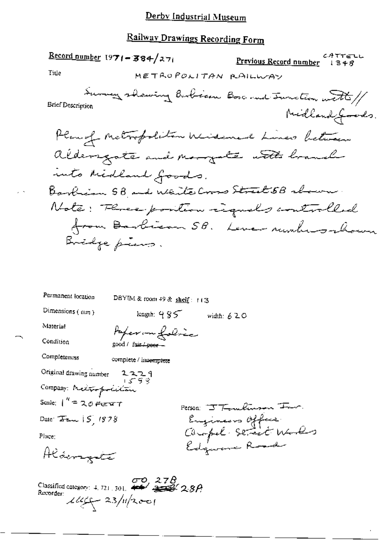# Railway Drawings Recording Form

|                                                                                                                                                                                                                                                                                                                                                                                                                                                                                                                                                                              | $\frac{\text{Record number}}{1971 - 384}/271$                   |                      | <u>Previous Record number</u>                    | ムタズイピレレ<br>1348 |
|------------------------------------------------------------------------------------------------------------------------------------------------------------------------------------------------------------------------------------------------------------------------------------------------------------------------------------------------------------------------------------------------------------------------------------------------------------------------------------------------------------------------------------------------------------------------------|-----------------------------------------------------------------|----------------------|--------------------------------------------------|-----------------|
| Title                                                                                                                                                                                                                                                                                                                                                                                                                                                                                                                                                                        |                                                                 | METROPOLITAN RAILWAY |                                                  |                 |
| Brief Description                                                                                                                                                                                                                                                                                                                                                                                                                                                                                                                                                            |                                                                 |                      | Survey showing Burbian Boscount Sunction with // | Midland Joods.  |
|                                                                                                                                                                                                                                                                                                                                                                                                                                                                                                                                                                              |                                                                 |                      | Plan of Metropolitan Widemand Lunes between      |                 |
|                                                                                                                                                                                                                                                                                                                                                                                                                                                                                                                                                                              |                                                                 |                      | aldersgate and morgate with branch               |                 |
|                                                                                                                                                                                                                                                                                                                                                                                                                                                                                                                                                                              | unto Midland Goods.                                             |                      |                                                  |                 |
|                                                                                                                                                                                                                                                                                                                                                                                                                                                                                                                                                                              |                                                                 |                      | Barbian 58 and White Cross Street 58 rhown.      |                 |
|                                                                                                                                                                                                                                                                                                                                                                                                                                                                                                                                                                              |                                                                 |                      | Note: Flores position reguels controlled         |                 |
|                                                                                                                                                                                                                                                                                                                                                                                                                                                                                                                                                                              |                                                                 |                      | from Barbican 58. Leve numbers shown             |                 |
|                                                                                                                                                                                                                                                                                                                                                                                                                                                                                                                                                                              | Inidje piens.                                                   |                      |                                                  |                 |
|                                                                                                                                                                                                                                                                                                                                                                                                                                                                                                                                                                              |                                                                 |                      |                                                  |                 |
| Permanent location                                                                                                                                                                                                                                                                                                                                                                                                                                                                                                                                                           | DBYIM & room 49 & shelf: $113$                                  |                      |                                                  |                 |
| Dimensions (mm)                                                                                                                                                                                                                                                                                                                                                                                                                                                                                                                                                              | length: $4.85$                                                  | width: 620           |                                                  |                 |
| Material                                                                                                                                                                                                                                                                                                                                                                                                                                                                                                                                                                     | Paper on folice                                                 |                      |                                                  |                 |
| Condition                                                                                                                                                                                                                                                                                                                                                                                                                                                                                                                                                                    | good / fair poor -                                              |                      |                                                  |                 |
| Completeness                                                                                                                                                                                                                                                                                                                                                                                                                                                                                                                                                                 | complete / invermplete                                          |                      |                                                  |                 |
| Original drawing number                                                                                                                                                                                                                                                                                                                                                                                                                                                                                                                                                      | 2229                                                            |                      |                                                  |                 |
| Company: Metropolitan                                                                                                                                                                                                                                                                                                                                                                                                                                                                                                                                                        |                                                                 |                      |                                                  |                 |
| Scale: $1'' = 20$ FIETT                                                                                                                                                                                                                                                                                                                                                                                                                                                                                                                                                      |                                                                 |                      | Person: $T_{\text{t}}$ multimate From            |                 |
| Date: $\overline{\Delta}_{\rm B} = \overline{\Delta}_{\rm B} = \overline{\Delta}_{\rm B} = \overline{\Delta}_{\rm B} = \overline{\Delta}_{\rm B} = \overline{\Delta}_{\rm B} = \overline{\Delta}_{\rm B} = \overline{\Delta}_{\rm B} = \overline{\Delta}_{\rm B} = \overline{\Delta}_{\rm B} = \overline{\Delta}_{\rm B} = \overline{\Delta}_{\rm B} = \overline{\Delta}_{\rm B} = \overline{\Delta}_{\rm B} = \overline{\Delta}_{\rm B} = \overline{\Delta}_{\rm B} = \overline{\Delta}_{\rm B} = \overline{\Delta}_{\rm B} = \overline{\Delta}_{\rm B} = \overline{\Delta$ |                                                                 |                      | Engineers Office<br>Chapel Street Works          |                 |
| Place:                                                                                                                                                                                                                                                                                                                                                                                                                                                                                                                                                                       |                                                                 |                      |                                                  |                 |
| Aldengalo                                                                                                                                                                                                                                                                                                                                                                                                                                                                                                                                                                    |                                                                 |                      |                                                  |                 |
| Recorder:                                                                                                                                                                                                                                                                                                                                                                                                                                                                                                                                                                    | Classified category: $4.721,301$ , $44/2$<br>$144 - 23/11/2001$ |                      |                                                  |                 |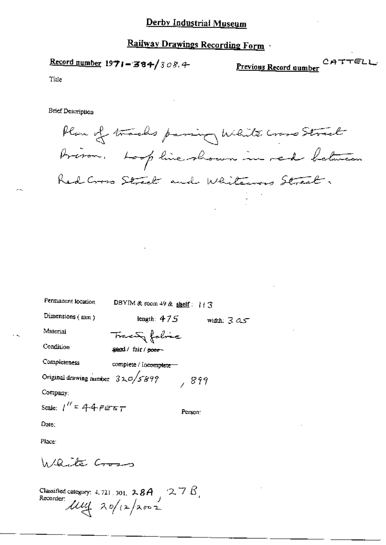## Railway Drawings Recording Form

Previous Record number

CATTELL

Title

Brief Description

Plan of tracks passing White cross Street Préson. Lorp line shown in red between Red Cross Street and Whitewas Street.

| Permanent location                                                 | DBYIM & room 49 & shelf: $113$ |
|--------------------------------------------------------------------|--------------------------------|
| Dimensions $(mm)$                                                  | length: $475$<br>width: $3.95$ |
| Material                                                           | Trace folice                   |
| Condition                                                          | sext/fair/poer-                |
| Completeness                                                       | complete / incomplete -        |
| Original drawing number $320/5899$                                 | , 899                          |
| Company:                                                           |                                |
| Scale: $1'' = 44$ $FET$                                            | Person:                        |
| $Date$ ;                                                           |                                |
| Place:                                                             |                                |
| Warte Cross                                                        |                                |
| Classified catament to pay $\alpha$ , $\alpha$ , $\beta$ $\Lambda$ |                                |

Classified category: 4.721.301. 28A 275,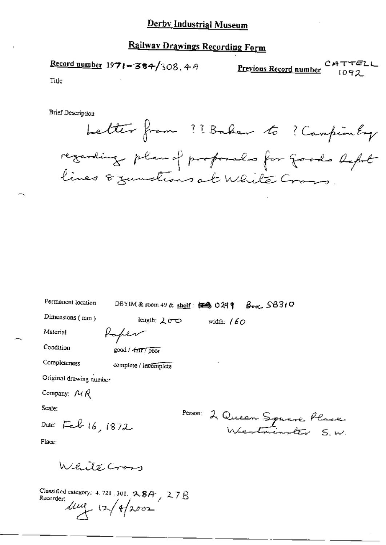## Railway Drawings Recording Form

Record number  $1971 - 384/308$ , 4A САТТЕ<br>1092 Previous Record number

Title

**Brief Description** 

| better from ?? Baker to ? Campionley                                             |  |  |
|----------------------------------------------------------------------------------|--|--|
| regarding plan of proposals for goods beful<br>lives & zunctions at White Cross. |  |  |

| Permanent location | DBYIM & room 49 & shelf: $\frac{1}{2}$ O 29 $\frac{1}{2}$ | $B_{\text{ext}}$ SB310 |
|--------------------|-----------------------------------------------------------|------------------------|
|--------------------|-----------------------------------------------------------|------------------------|

Dimensions (mm)

length:  $200$ Raper

width:  $/60$ 

Material Condition

Completeness

good / fatt / poor

complete / incomplete

Original drawing number

Company:  $\mathcal{M} \mathcal{R}$ 

Scale:

Date: Feb 16, 1872

Person: 2 Queen Sprane Place

Place:

WeitzCross

Classified category: 4.721, 301,  $28A$ ,  $27B$ Recorder  $\mu$   $(2/4)$ 2002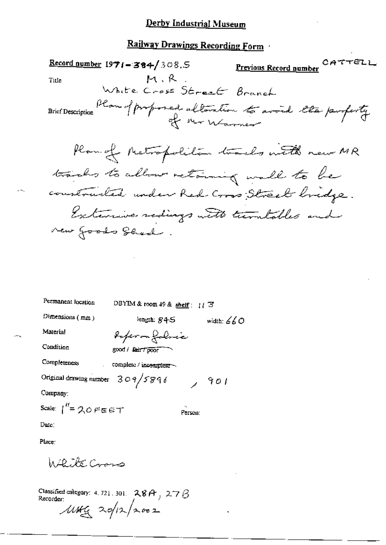### Railway Drawings Recording Form

CATTELL Previous Record number  $\frac{\text{Record number}}{1971 - 384}$ /308.5 M.R Title White Cross Street Branch Plan of proposed alteration to avoid the proferty **Brief Description** Plan of Metropolitica tracks with new MR tracks to allow retaining wall to be constructed under Red Cross Street bridge. Extensive rediags with turntables and new foods Shed.

| Permanent location                 | DBYIM & room 49 & shelf: $1/3$ |         |              |
|------------------------------------|--------------------------------|---------|--------------|
| Dimensions (mm)                    | length: $845$                  |         | width: $660$ |
| Material                           | Roferon folocia                |         |              |
| Condition                          | good / fair7 poor              |         |              |
| Completeness                       | complete / incomplete          |         |              |
| Original drawing number $309/5896$ |                                |         | 901          |
| Company:                           |                                |         |              |
| Scale: $1''=20$ FEET               |                                | Person: |              |
| Date:                              |                                |         |              |
|                                    |                                |         |              |

Place:

 $h$  /  $R$  ,  $\mathcal{X}_{\sigma}$  (  $\rho_{\sigma}$ 

Classified category: 4, 721, 301,  $28A$ , 27 $\beta$ Recorder:  $\mu$ tha 20/12/2002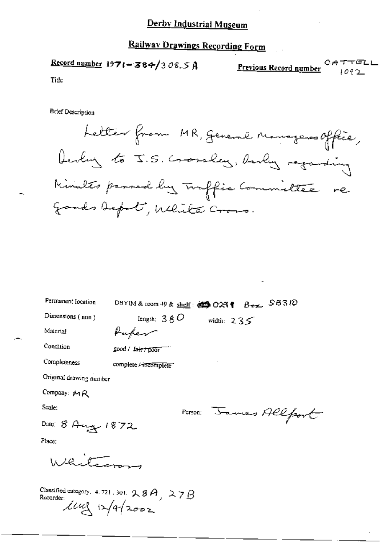# Railway Drawings Recording Form

|       | Record number 1971 - 384/308.5 A |                        | CATTELL |
|-------|----------------------------------|------------------------|---------|
|       |                                  | Previous Record number | 1092    |
| TIME. |                                  |                        |         |

Title

**Brief Description** 

Letter from MR, general nanagers office, Derly to J.S. Gossley, Really regarding Minutes passed by Inffic Committee re gands befort, White Cross.

| Permanent location               | $B_{\text{ext}}$ SB310<br>DBYIM & room 49 & shelf: $\otimes$ 029 $\diamond$ |
|----------------------------------|-----------------------------------------------------------------------------|
| Dimensions (min)                 | length: $380$<br>width: $235$                                               |
| Material                         | Kupen                                                                       |
| Condition                        | good / fair / poor                                                          |
| Completeness                     | complete Fincomplete                                                        |
| Original drawing number          |                                                                             |
| Company: MR                      |                                                                             |
| Scale:                           | PETSON: James Allport                                                       |
| Date: 8 Aug 1872                 |                                                                             |
| Place;                           |                                                                             |
| لي في عمل المملكة                |                                                                             |
| Recorder:<br>$114$ $\frac{1}{4}$ | Classified category. 4.721.301. $28A$ , 27B                                 |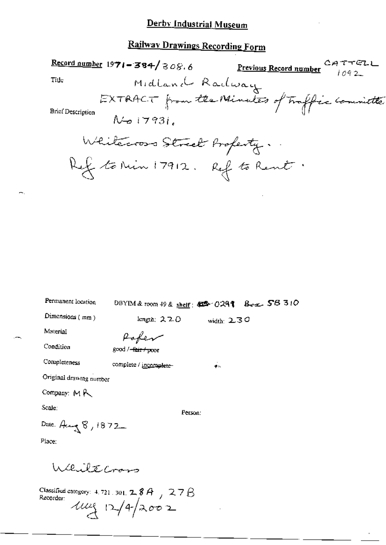# Railway Drawings Recording Form

 $\sim$ .

|                             | <b>Record number 1971 - 384/</b> 308.6 Previous Record number $\alpha_{A} \tau \tau \epsilon_L$ |              |  |
|-----------------------------|-------------------------------------------------------------------------------------------------|--------------|--|
| Title                       | Midland Radway                                                                                  |              |  |
|                             | EXTRACT from the Number of Traffice Committee                                                   |              |  |
| <b>Brief Description</b>    |                                                                                                 |              |  |
|                             | $N$ to $17931$                                                                                  |              |  |
|                             | Whitecross Street Profesty.                                                                     |              |  |
|                             |                                                                                                 |              |  |
|                             | Ref to Min 17912. Ref to Rent.                                                                  |              |  |
|                             |                                                                                                 |              |  |
|                             |                                                                                                 |              |  |
|                             |                                                                                                 |              |  |
|                             |                                                                                                 |              |  |
|                             |                                                                                                 |              |  |
|                             |                                                                                                 |              |  |
|                             |                                                                                                 |              |  |
| Permanent location          | 0BYIM & toom 49 & shelf: \$28 0291 Box 5B 310                                                   |              |  |
| Dimensions (mm)             | length; $220$                                                                                   | width: $230$ |  |
| Material                    | Paper                                                                                           |              |  |
| Condition                   | good / <del>fair / po</del> or                                                                  |              |  |
| Completeness                | complete / incomplete-                                                                          | 手に           |  |
| Original drawing number     |                                                                                                 |              |  |
| Company: $M \, \mathcal{K}$ |                                                                                                 |              |  |
| Scale:                      | Person:                                                                                         |              |  |
| Date: $A \sim 8,1872$       |                                                                                                 |              |  |
| Place:                      |                                                                                                 |              |  |
|                             |                                                                                                 |              |  |
| While Cross                 |                                                                                                 |              |  |
|                             | Classified category: $4.721$ , $301$ , $2.8A$ , $7.27B$<br>Recorder:                            |              |  |
|                             | 1024/2002                                                                                       |              |  |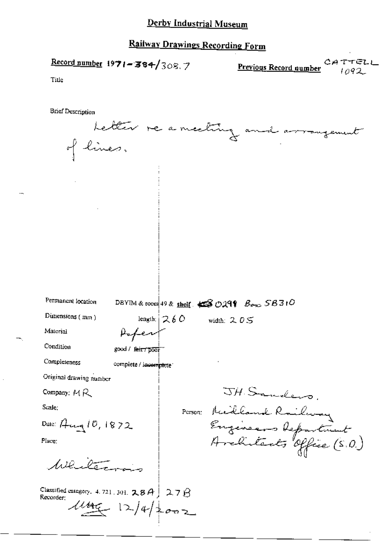### Railway Drawings Recording Form

Record number  $1971 - 384/308.7$ 

**Previous Record number**  $\alpha A \tau + \epsilon L$ 

Title

**Brief Description** 

Letter re a meeting and arrangement of lines. Permanent location DBYIM & room 49 & shelf  $\triangle$  O299  $B_{\text{max}}$  SB310 Dunensions (min) length;  $260$  width:  $205$ Material Afer Condition good / feir poor Compleieness complete / incomplete: Original drawing number JH Sanders. Company:  $MR$ Person: Michland Railway Scale: Engineers Reportment<br>Architects Office (S.O.) Date:  $A_{\text{trq}}10,1872$ Place: Whitern Classified category, 4, 721, 301,  $28A$  | 27 $\beta$ Recorder;  $4445$   $12/4/2002$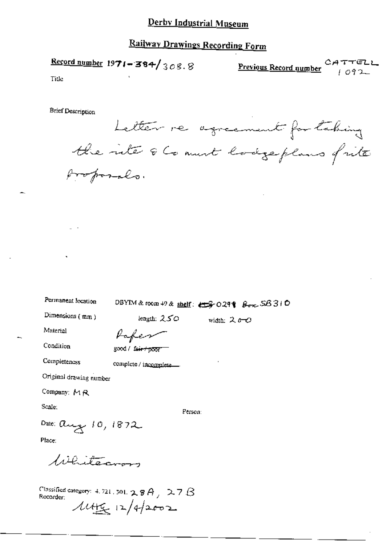# Railway Drawings Recording Form

Record number  $1971 - 384 / 308.8$ Previous Record number  $CATTET$ 

Tide

**Brief Description** 

Letter re agreement for taking the inte & Comment hodgeplans frite proposals.

Permanent location

DBYIM & room 49 & shelf:  $\leftarrow$  9029  $\leftarrow$   $\leftarrow$  SB 310

width:  $2,0,0$ 

Dimensions (mm)

length:  $250$ 

Material

Condition

Paper

good / fair / poor

complete / incomplete.....

Completeness

Original drawing number

Company: MR

Scale:

Person:

Date: aug 10, 1872

Place:

Whitecron

Classified category: 4, 721, 501,  $2.8A$ ,  $2.7B$ Recorder:  $144 - 124202$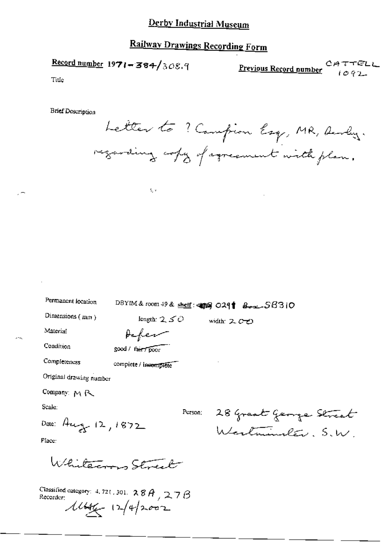# Railway Drawings Recording Form

$$
\frac{\text{Record number}}{1971 - 384} / \frac{308.9}{}
$$

Previous Record number  $C \nrightarrow T \nrightarrow C$ 

Title

**Brief Description** 

Letter to ? Compion Esq, MR, Aurley. regarding copy of agreement with plan.

Permanent location

DBYIM&room 49 & shelf: 459 0291 802-56310

Person;

width: 200

Dimensions (mm)

length:  $250$ 

Acker

good / fair / poor

長い

Material

Condition

Completeness

complete / incomplete

Original drawing number

Company: MR

Scale:

Date: Aug 12, 1872

28 Great George Street Westminster. S.W.

Place:

Whitecron Street

Classified category: 4, 721, 301,  $28A$ ,  $27B$ Recorder:  $11/42002$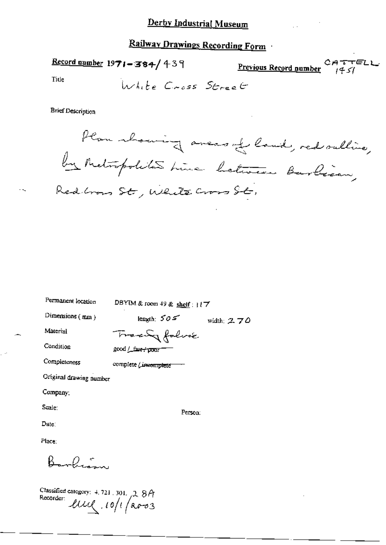## Railway Drawings Recording Form

Record number  $1971 - 384 / 439$ CATTELI Previous Record number

Title

**Brief Description** 

Permanent lassel.

Plan material aversal land, red sulling, Redbrows St, White Cross St,

| - углаатсын 1003000     | DBYIM & room 49 & shelf: $17$ |              |
|-------------------------|-------------------------------|--------------|
| Dimensions (mm)         | length: $505$                 | width: $270$ |
| Material                | Tracky folice                 |              |
| Condition               | good / fave+poor              |              |
| Completeness            | complete <i>Lineomplete</i>   |              |
| Original drawing number |                               |              |
| Company:                |                               |              |
| Scale:                  | Person:                       |              |
| Date:                   |                               |              |
| Place:                  |                               |              |
|                         |                               |              |

Classified category: 4, 721, 301, 2, 8A Recorder live 10/1/2003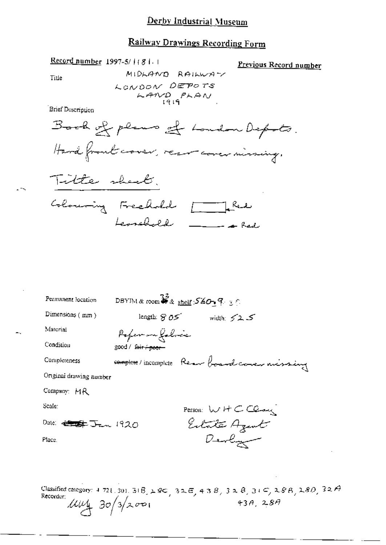#### Railway Drawings Recording Form

MIDLAND RAILWAY

Previous Record number

LONDON DEPOTS  $KAND$  $PKAN$ Brief Description Book of plans of London Depots. Hard front cover, recover aver missing. Title sheet. Coloning Freehold [ Red Leonard \_\_\_\_\_\_ DBYIM & room  $\overline{\mathcal{L}}$  & shelf  $\mathcal{S}\&\mathcal{O}_{\mathbb{R}}\mathcal{P}_{\mathbb{C}}\subset\mathbb{C}$ Permanent location Dimensions (mm) length:  $805$  width:  $525$ 

Poper en folice

good / fair + peer-

Material

Condition

Completeness

complete/incomplete Rear boardcorer missing

Original drawing number

Company: MR

Scale:

Date: 45 5 Jan 1920

Place.

Person: WHCClay Estate Azent Devlin

Classified category: 4 721, 301, 31 B,  $\angle$  8C, 32 E, 43 B, 32 B, 31 C, 28 B, 280, 32 A Recorder:  $\mu\mu$  30/3/2001  $43A, 28A$ 

Title

Record number 1997-5/1(81)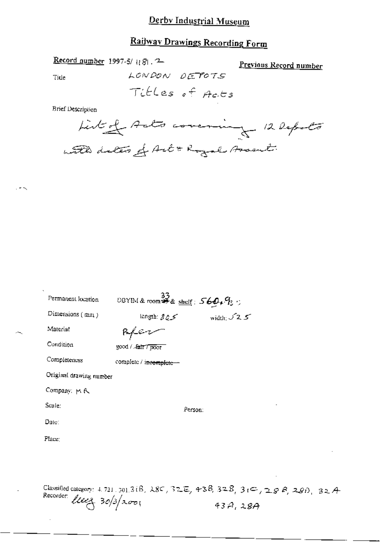## Railway Drawings Recording Form

| Record number 1997-5/ $(8)$ . 2 |  |  |  |
|---------------------------------|--|--|--|
|---------------------------------|--|--|--|

Previous Record number

Title

Titles of Acts

LONDON DETOTS

**Brief Description** 

Listed Acts covering 12 Depots with dates of Art & Royal Assent.

| ۰<br>Permanent location  | DBYIM & room $\overset{33}{\clubsuit}$ & shelf: $569.9$ : |                     |
|--------------------------|-----------------------------------------------------------|---------------------|
| Dimensions $(\text{mm})$ | كرج angth: 8                                              | width: $\sqrt{2.5}$ |
| Material                 | Referen                                                   |                     |
| Condition                | good / 指IT7 poor                                          |                     |
| Completeness             | complete / incomplete -                                   |                     |
| Original drawing number  |                                                           |                     |
| Company: MR              |                                                           |                     |
| Scale:                   | Person:                                                   |                     |
| Date:                    |                                                           |                     |
| Place:                   |                                                           |                     |
|                          |                                                           |                     |
|                          |                                                           |                     |
|                          |                                                           |                     |

Classified category: 4.721.301.3(B, 28C, 32E, 43B, 32B, 3(C, 28B, 28D, 32A Recorder: *liver* 30/3/2001  $43A,28A$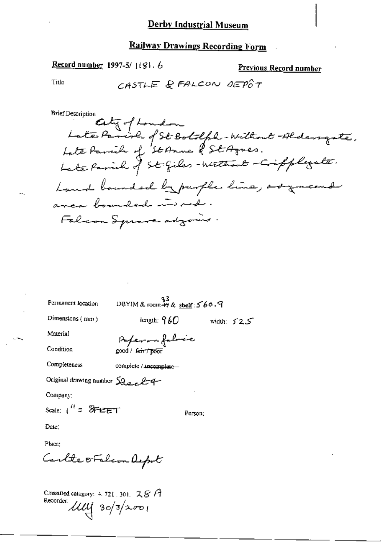# Railway Drawings Recording Form

Record number 1997-5/1181.6

Previous Record number

Title

 $\sim$   $\sim$ 

 $\sim$  75.

**Brief Description** 

| Permanent location                          | $23$ DBYIM & room $49$ & shelf: $560.9$ |              |
|---------------------------------------------|-----------------------------------------|--------------|
| Dimensions $(mn)$                           | tength: $960$                           | width: $525$ |
| Material                                    | Paperon fabrée                          |              |
| Condition                                   | good / fair / poor                      |              |
| Completeness                                | complete / incomplete                   |              |
| Original drawing number $\Omega$ and $\ell$ |                                         |              |
| Company:                                    |                                         |              |
| Scale: $t'' = 8$ FBET                       |                                         | Person:      |
| Date:                                       |                                         |              |
| Place:                                      |                                         |              |
| Carlte oFalcon Aspot                        |                                         |              |

Classified category: 4, 721, 301,  $28A$ Recorder:  $\mu$ <br> $\mu$  30/3/2001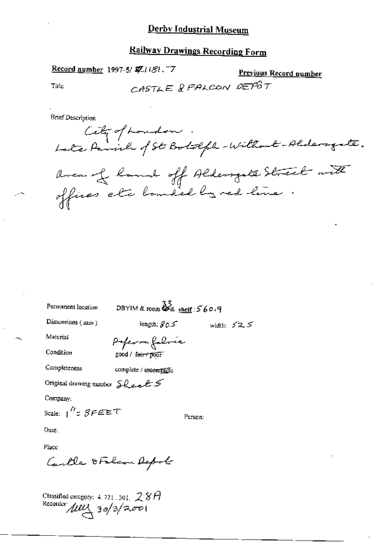#### Railway Drawings Recording Form

Record number 1997-5/ 配自81. 7

Previous Record number

Title

CASTLE & FALCON DEPOT

**Brief Description** 

Cety of London .<br>Late Pavil of St Botolph-Willout-Aldersgate.

area of land off Aldersate Street with offices etc bounded by red line.

Permanent location

DBYIM & room  $\frac{33}{4}$  shelf : 560.9

Dimensions  $(mn)$ 

length:  $SOS$ 

width:  $52.5$ 

Material Condition Poper on follower good / fair+poor

Completeness complete / incomplete

Original drawing number Shealts

Company:

Scale:  $1'' = SFEET$ 

Person:

Date:

Place:

Cartle OFalcon Depot

Classified category: 4.721.301.  $28P$ <br>Recorder  $\mu$ UU 30/3/2001